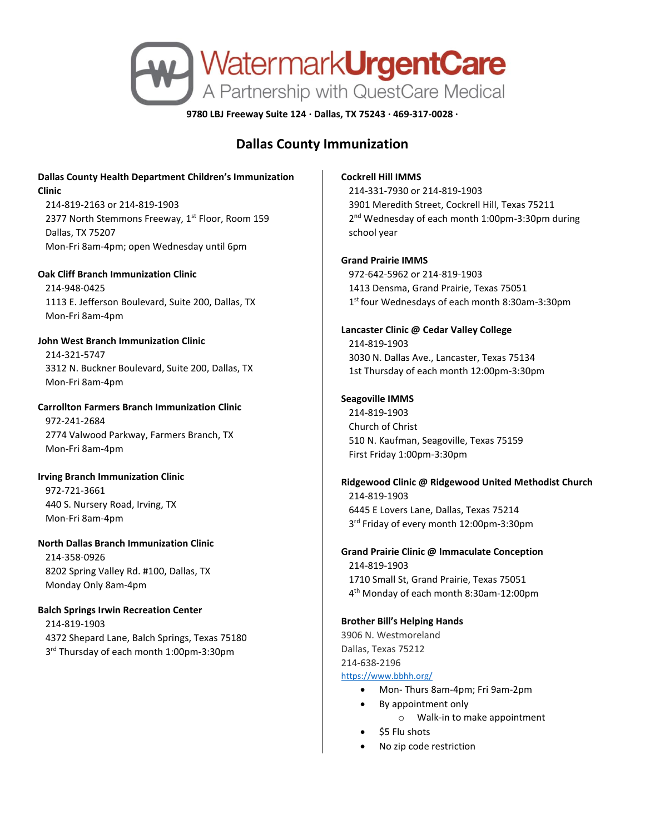

**9780 LBJ Freeway Suite 124 · Dallas, TX 75243 · 469-317-0028 ·**

# **Dallas County Immunization**

# **Dallas County Health Department Children's Immunization Clinic**

214-819-2163 or 214-819-1903 2377 North Stemmons Freeway, 1<sup>st</sup> Floor, Room 159 Dallas, TX 75207 Mon-Fri 8am-4pm; open Wednesday until 6pm

#### **Oak Cliff Branch Immunization Clinic**

214-948-0425 1113 E. Jefferson Boulevard, Suite 200, Dallas, TX Mon-Fri 8am-4pm

## **John West Branch Immunization Clinic** 214-321-5747 3312 N. Buckner Boulevard, Suite 200, Dallas, TX Mon-Fri 8am-4pm

# **Carrollton Farmers Branch Immunization Clinic** 972-241-2684 2774 Valwood Parkway, Farmers Branch, TX

Mon-Fri 8am-4pm

## **Irving Branch Immunization Clinic**

972-721-3661 440 S. Nursery Road, Irving, TX Mon-Fri 8am-4pm

# **North Dallas Branch Immunization Clinic**

214-358-0926 8202 Spring Valley Rd. #100, Dallas, TX Monday Only 8am-4pm

# **Balch Springs Irwin Recreation Center**

214-819-1903 4372 Shepard Lane, Balch Springs, Texas 75180 3 rd Thursday of each month 1:00pm-3:30pm

#### **Cockrell Hill IMMS**

214-331-7930 or 214-819-1903 3901 Meredith Street, Cockrell Hill, Texas 75211 2<sup>nd</sup> Wednesday of each month 1:00pm-3:30pm during school year

#### **Grand Prairie IMMS**

972-642-5962 or 214-819-1903 1413 Densma, Grand Prairie, Texas 75051 1 st four Wednesdays of each month 8:30am-3:30pm

# **Lancaster Clinic @ Cedar Valley College** 214-819-1903 3030 N. Dallas Ave., Lancaster, Texas 75134 1st Thursday of each month 12:00pm-3:30pm

## **Seagoville IMMS**

214-819-1903 Church of Christ 510 N. Kaufman, Seagoville, Texas 75159 First Friday 1:00pm-3:30pm

# **Ridgewood Clinic @ Ridgewood United Methodist Church**

214-819-1903 6445 E Lovers Lane, Dallas, Texas 75214 3 rd Friday of every month 12:00pm-3:30pm

## **Grand Prairie Clinic @ Immaculate Conception** 214-819-1903 1710 Small St, Grand Prairie, Texas 75051 4 th Monday of each month 8:30am-12:00pm

#### **Brother Bill's Helping Hands**

3906 N. Westmoreland Dallas, Texas 75212 214-638-2196 <https://www.bbhh.org/>

- Mon- Thurs 8am-4pm; Fri 9am-2pm
- By appointment only
	- o Walk-in to make appointment
- \$5 Flu shots
- No zip code restriction